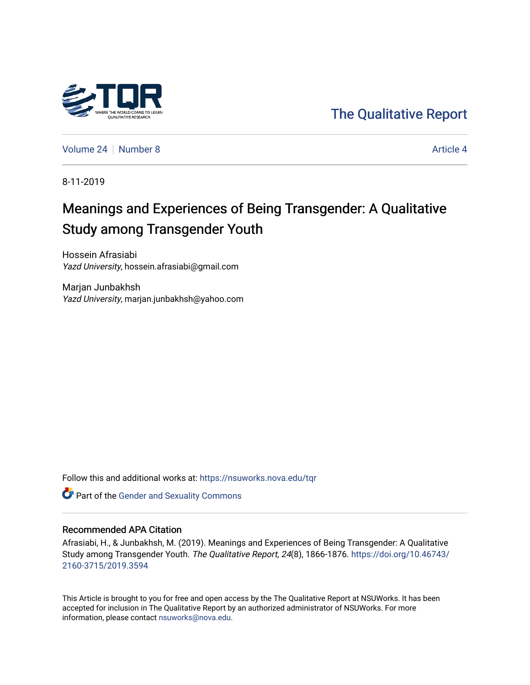

[The Qualitative Report](https://nsuworks.nova.edu/tqr) 

[Volume 24](https://nsuworks.nova.edu/tqr/vol24) | [Number 8](https://nsuworks.nova.edu/tqr/vol24/iss8) [Article 4](https://nsuworks.nova.edu/tqr/vol24/iss8/4) Article 4

8-11-2019

# Meanings and Experiences of Being Transgender: A Qualitative Study among Transgender Youth

Hossein Afrasiabi Yazd University, hossein.afrasiabi@gmail.com

Marjan Junbakhsh Yazd University, marjan.junbakhsh@yahoo.com

Follow this and additional works at: [https://nsuworks.nova.edu/tqr](https://nsuworks.nova.edu/tqr?utm_source=nsuworks.nova.edu%2Ftqr%2Fvol24%2Fiss8%2F4&utm_medium=PDF&utm_campaign=PDFCoverPages) 

Part of the [Gender and Sexuality Commons](http://network.bepress.com/hgg/discipline/420?utm_source=nsuworks.nova.edu%2Ftqr%2Fvol24%2Fiss8%2F4&utm_medium=PDF&utm_campaign=PDFCoverPages)

#### Recommended APA Citation

Afrasiabi, H., & Junbakhsh, M. (2019). Meanings and Experiences of Being Transgender: A Qualitative Study among Transgender Youth. The Qualitative Report, 24(8), 1866-1876. [https://doi.org/10.46743/](https://doi.org/10.46743/2160-3715/2019.3594) [2160-3715/2019.3594](https://doi.org/10.46743/2160-3715/2019.3594)

This Article is brought to you for free and open access by the The Qualitative Report at NSUWorks. It has been accepted for inclusion in The Qualitative Report by an authorized administrator of NSUWorks. For more information, please contact [nsuworks@nova.edu.](mailto:nsuworks@nova.edu)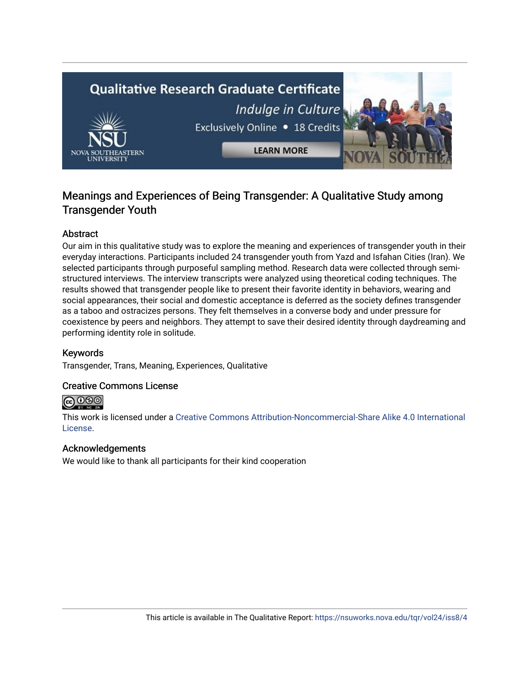# **Qualitative Research Graduate Certificate** Indulge in Culture Exclusively Online . 18 Credits **LEARN MORE**

# Meanings and Experiences of Being Transgender: A Qualitative Study among Transgender Youth

# Abstract

Our aim in this qualitative study was to explore the meaning and experiences of transgender youth in their everyday interactions. Participants included 24 transgender youth from Yazd and Isfahan Cities (Iran). We selected participants through purposeful sampling method. Research data were collected through semistructured interviews. The interview transcripts were analyzed using theoretical coding techniques. The results showed that transgender people like to present their favorite identity in behaviors, wearing and social appearances, their social and domestic acceptance is deferred as the society defines transgender as a taboo and ostracizes persons. They felt themselves in a converse body and under pressure for coexistence by peers and neighbors. They attempt to save their desired identity through daydreaming and performing identity role in solitude.

# Keywords

Transgender, Trans, Meaning, Experiences, Qualitative

# Creative Commons License



This work is licensed under a [Creative Commons Attribution-Noncommercial-Share Alike 4.0 International](https://creativecommons.org/licenses/by-nc-sa/4.0/)  [License](https://creativecommons.org/licenses/by-nc-sa/4.0/).

## Acknowledgements

We would like to thank all participants for their kind cooperation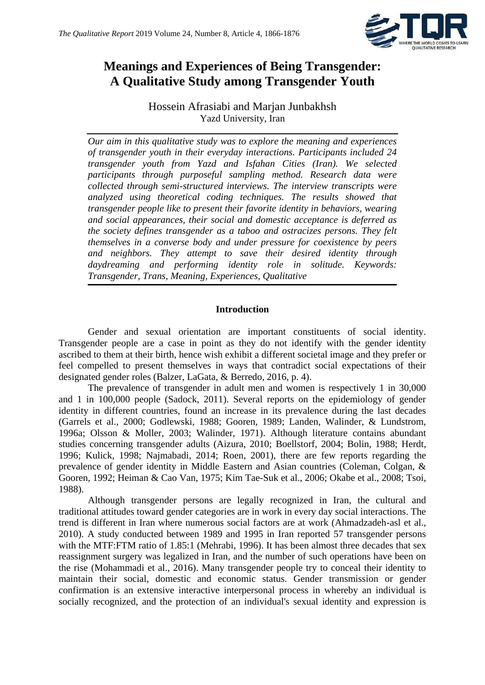

# **Meanings and Experiences of Being Transgender: A Qualitative Study among Transgender Youth**

Hossein Afrasiabi and Marjan Junbakhsh Yazd University, Iran

*Our aim in this qualitative study was to explore the meaning and experiences of transgender youth in their everyday interactions. Participants included 24 transgender youth from Yazd and Isfahan Cities (Iran). We selected participants through purposeful sampling method. Research data were collected through semi-structured interviews. The interview transcripts were analyzed using theoretical coding techniques. The results showed that transgender people like to present their favorite identity in behaviors, wearing and social appearances, their social and domestic acceptance is deferred as the society defines transgender as a taboo and ostracizes persons. They felt themselves in a converse body and under pressure for coexistence by peers and neighbors. They attempt to save their desired identity through daydreaming and performing identity role in solitude. Keywords: Transgender, Trans, Meaning, Experiences, Qualitative*

# **Introduction**

Gender and sexual orientation are important constituents of social identity. Transgender people are a case in point as they do not identify with the gender identity ascribed to them at their birth, hence wish exhibit a different societal image and they prefer or feel compelled to present themselves in ways that contradict social expectations of their designated gender roles (Balzer, LaGata, & Berredo, 2016, p. 4).

The prevalence of transgender in adult men and women is respectively 1 in 30,000 and 1 in 100,000 people (Sadock, 2011). Several reports on the epidemiology of gender identity in different countries, found an increase in its prevalence during the last decades (Garrels et al., 2000; Godlewski, 1988; Gooren, 1989; Landen, Walinder, & Lundstrom, 1996a; Olsson & Moller, 2003; Walinder, 1971). Although literature contains abundant studies concerning transgender adults (Aizura, 2010; Boellstorf, 2004; Bolin, 1988; Herdt, 1996; Kulick, 1998; Najmabadi, 2014; Roen, 2001), there are few reports regarding the prevalence of gender identity in Middle Eastern and Asian countries (Coleman, Colgan, & Gooren, 1992; Heiman & Cao Van, 1975; Kim Tae-Suk et al., 2006; Okabe et al., 2008; Tsoi, 1988).

Although transgender persons are legally recognized in Iran, the cultural and traditional attitudes toward gender categories are in work in every day social interactions. The trend is different in Iran where numerous social factors are at work (Ahmadzadeh-asl et al., 2010). A study conducted between 1989 and 1995 in Iran reported 57 transgender persons with the MTF:FTM ratio of 1.85:1 (Mehrabi, 1996). It has been almost three decades that sex reassignment surgery was legalized in Iran, and the number of such operations have been on the rise (Mohammadi et al., 2016). Many transgender people try to conceal their identity to maintain their social, domestic and economic status. Gender transmission or gender confirmation is an extensive interactive interpersonal process in whereby an individual is socially recognized, and the protection of an individual's sexual identity and expression is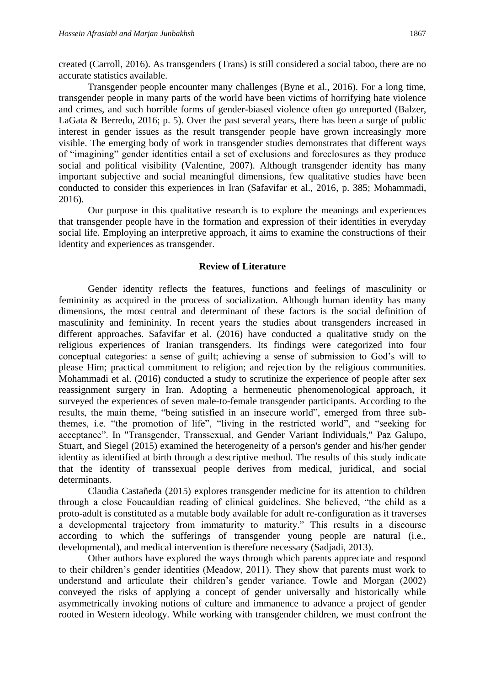created (Carroll, 2016). As transgenders (Trans) is still considered a social taboo, there are no accurate statistics available.

Transgender people encounter many challenges (Byne et al., 2016). For a long time, transgender people in many parts of the world have been victims of horrifying hate violence and crimes, and such horrible forms of gender-biased violence often go unreported (Balzer, LaGata & Berredo, 2016; p. 5). Over the past several years, there has been a surge of public interest in gender issues as the result transgender people have grown increasingly more visible. The emerging body of work in transgender studies demonstrates that different ways of "imagining" gender identities entail a set of exclusions and foreclosures as they produce social and political visibility (Valentine, 2007). Although transgender identity has many important subjective and social meaningful dimensions, few qualitative studies have been conducted to consider this experiences in Iran (Safavifar et al., 2016, p. 385; Mohammadi, 2016).

Our purpose in this qualitative research is to explore the meanings and experiences that transgender people have in the formation and expression of their identities in everyday social life. Employing an interpretive approach, it aims to examine the constructions of their identity and experiences as transgender.

#### **Review of Literature**

Gender identity reflects the features, functions and feelings of masculinity or femininity as acquired in the process of socialization. Although human identity has many dimensions, the most central and determinant of these factors is the social definition of masculinity and femininity. In recent years the studies about transgenders increased in different approaches. Safavifar et al. (2016) have conducted a qualitative study on the religious experiences of Iranian transgenders. Its findings were categorized into four conceptual categories: a sense of guilt; achieving a sense of submission to God's will to please Him; practical commitment to religion; and rejection by the religious communities. Mohammadi et al. (2016) conducted a study to scrutinize the experience of people after sex reassignment surgery in Iran. Adopting a hermeneutic phenomenological approach, it surveyed the experiences of seven male-to-female transgender participants. According to the results, the main theme, "being satisfied in an insecure world", emerged from three subthemes, i.e. "the promotion of life", "living in the restricted world", and "seeking for acceptance". In "Transgender, Transsexual, and Gender Variant Individuals," Paz Galupo, Stuart, and Siegel (2015) examined the heterogeneity of a person's gender and his/her gender identity as identified at birth through a descriptive method. The results of this study indicate that the identity of transsexual people derives from medical, juridical, and social determinants.

Claudia Castañeda (2015) explores transgender medicine for its attention to children through a close Foucauldian reading of clinical guidelines. She believed, "the child as a proto-adult is constituted as a mutable body available for adult re-configuration as it traverses a developmental trajectory from immaturity to maturity." This results in a discourse according to which the sufferings of transgender young people are natural (i.e., developmental), and medical intervention is therefore necessary (Sadjadi, 2013).

Other authors have explored the ways through which parents appreciate and respond to their children's gender identities (Meadow, 2011). They show that parents must work to understand and articulate their children's gender variance. Towle and Morgan (2002) conveyed the risks of applying a concept of gender universally and historically while asymmetrically invoking notions of culture and immanence to advance a project of gender rooted in Western ideology. While working with transgender children, we must confront the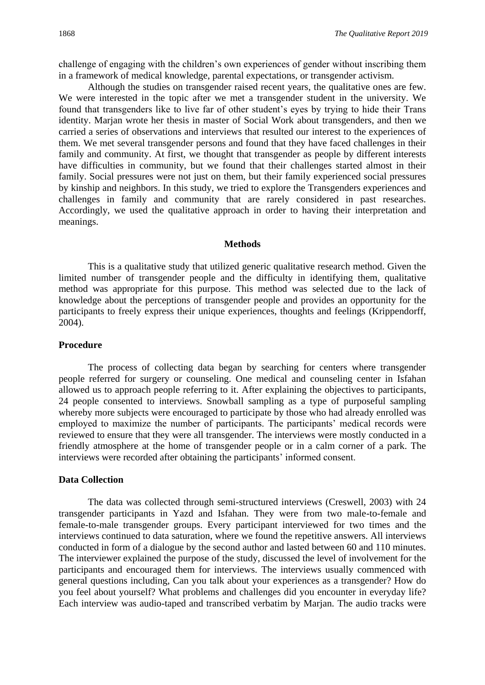challenge of engaging with the children's own experiences of gender without inscribing them in a framework of medical knowledge, parental expectations, or transgender activism.

Although the studies on transgender raised recent years, the qualitative ones are few. We were interested in the topic after we met a transgender student in the university. We found that transgenders like to live far of other student's eyes by trying to hide their Trans identity. Marjan wrote her thesis in master of Social Work about transgenders, and then we carried a series of observations and interviews that resulted our interest to the experiences of them. We met several transgender persons and found that they have faced challenges in their family and community. At first, we thought that transgender as people by different interests have difficulties in community, but we found that their challenges started almost in their family. Social pressures were not just on them, but their family experienced social pressures by kinship and neighbors. In this study, we tried to explore the Transgenders experiences and challenges in family and community that are rarely considered in past researches. Accordingly, we used the qualitative approach in order to having their interpretation and meanings.

#### **Methods**

This is a qualitative study that utilized generic qualitative research method. Given the limited number of transgender people and the difficulty in identifying them, qualitative method was appropriate for this purpose. This method was selected due to the lack of knowledge about the perceptions of transgender people and provides an opportunity for the participants to freely express their unique experiences, thoughts and feelings (Krippendorff, 2004).

## **Procedure**

The process of collecting data began by searching for centers where transgender people referred for surgery or counseling. One medical and counseling center in Isfahan allowed us to approach people referring to it. After explaining the objectives to participants, 24 people consented to interviews. Snowball sampling as a type of purposeful sampling whereby more subjects were encouraged to participate by those who had already enrolled was employed to maximize the number of participants. The participants' medical records were reviewed to ensure that they were all transgender. The interviews were mostly conducted in a friendly atmosphere at the home of transgender people or in a calm corner of a park. The interviews were recorded after obtaining the participants' informed consent.

#### **Data Collection**

The data was collected through semi-structured interviews (Creswell, 2003) with 24 transgender participants in Yazd and Isfahan. They were from two male-to-female and female-to-male transgender groups. Every participant interviewed for two times and the interviews continued to data saturation, where we found the repetitive answers. All interviews conducted in form of a dialogue by the second author and lasted between 60 and 110 minutes. The interviewer explained the purpose of the study, discussed the level of involvement for the participants and encouraged them for interviews. The interviews usually commenced with general questions including, Can you talk about your experiences as a transgender? How do you feel about yourself? What problems and challenges did you encounter in everyday life? Each interview was audio-taped and transcribed verbatim by Marjan. The audio tracks were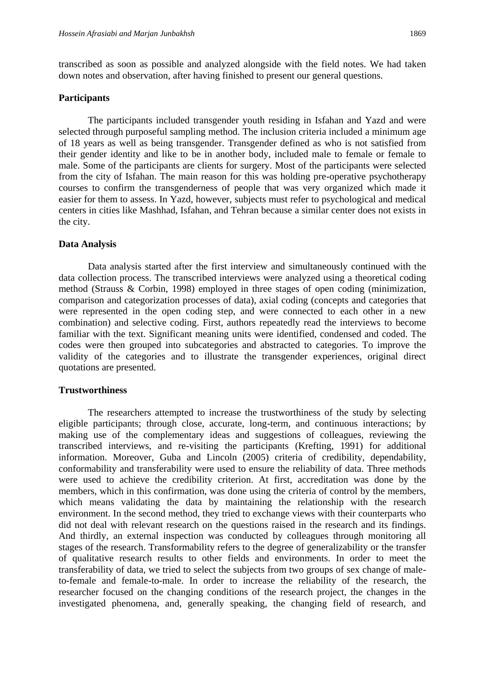transcribed as soon as possible and analyzed alongside with the field notes. We had taken down notes and observation, after having finished to present our general questions.

#### **Participants**

The participants included transgender youth residing in Isfahan and Yazd and were selected through purposeful sampling method. The inclusion criteria included a minimum age of 18 years as well as being transgender. Transgender defined as who is not satisfied from their gender identity and like to be in another body, included male to female or female to male. Some of the participants are clients for surgery. Most of the participants were selected from the city of Isfahan. The main reason for this was holding pre-operative psychotherapy courses to confirm the transgenderness of people that was very organized which made it easier for them to assess. In Yazd, however, subjects must refer to psychological and medical centers in cities like Mashhad, Isfahan, and Tehran because a similar center does not exists in the city.

#### **Data Analysis**

Data analysis started after the first interview and simultaneously continued with the data collection process. The transcribed interviews were analyzed using a theoretical coding method (Strauss & Corbin, 1998) employed in three stages of open coding (minimization, comparison and categorization processes of data), axial coding (concepts and categories that were represented in the open coding step, and were connected to each other in a new combination) and selective coding. First, authors repeatedly read the interviews to become familiar with the text. Significant meaning units were identified, condensed and coded. The codes were then grouped into subcategories and abstracted to categories. To improve the validity of the categories and to illustrate the transgender experiences, original direct quotations are presented.

#### **Trustworthiness**

The researchers attempted to increase the trustworthiness of the study by selecting eligible participants; through close, accurate, long-term, and continuous interactions; by making use of the complementary ideas and suggestions of colleagues, reviewing the transcribed interviews, and re-visiting the participants (Krefting, 1991) for additional information. Moreover, Guba and Lincoln (2005) criteria of credibility, dependability, conformability and transferability were used to ensure the reliability of data. Three methods were used to achieve the credibility criterion. At first, accreditation was done by the members, which in this confirmation, was done using the criteria of control by the members, which means validating the data by maintaining the relationship with the research environment. In the second method, they tried to exchange views with their counterparts who did not deal with relevant research on the questions raised in the research and its findings. And thirdly, an external inspection was conducted by colleagues through monitoring all stages of the research. Transformability refers to the degree of generalizability or the transfer of qualitative research results to other fields and environments. In order to meet the transferability of data, we tried to select the subjects from two groups of sex change of maleto-female and female-to-male. In order to increase the reliability of the research, the researcher focused on the changing conditions of the research project, the changes in the investigated phenomena, and, generally speaking, the changing field of research, and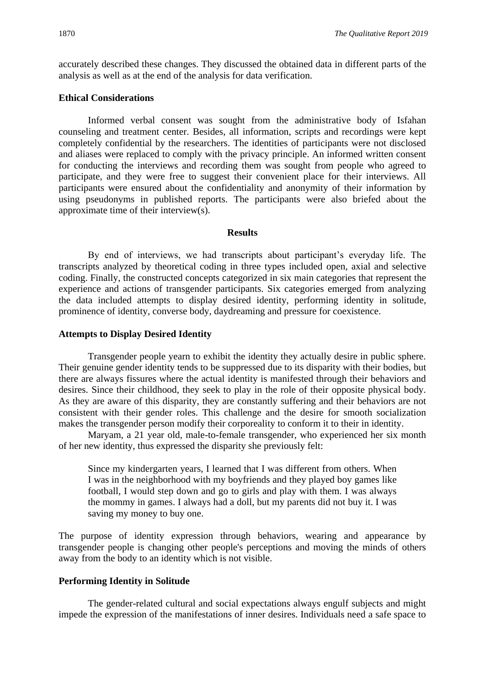accurately described these changes. They discussed the obtained data in different parts of the analysis as well as at the end of the analysis for data verification.

#### **Ethical Considerations**

Informed verbal consent was sought from the administrative body of Isfahan counseling and treatment center. Besides, all information, scripts and recordings were kept completely confidential by the researchers. The identities of participants were not disclosed and aliases were replaced to comply with the privacy principle. An informed written consent for conducting the interviews and recording them was sought from people who agreed to participate, and they were free to suggest their convenient place for their interviews. All participants were ensured about the confidentiality and anonymity of their information by using pseudonyms in published reports. The participants were also briefed about the approximate time of their interview(s).

#### **Results**

By end of interviews, we had transcripts about participant's everyday life. The transcripts analyzed by theoretical coding in three types included open, axial and selective coding. Finally, the constructed concepts categorized in six main categories that represent the experience and actions of transgender participants. Six categories emerged from analyzing the data included attempts to display desired identity, performing identity in solitude, prominence of identity, converse body, daydreaming and pressure for coexistence.

#### **Attempts to Display Desired Identity**

Transgender people yearn to exhibit the identity they actually desire in public sphere. Their genuine gender identity tends to be suppressed due to its disparity with their bodies, but there are always fissures where the actual identity is manifested through their behaviors and desires. Since their childhood, they seek to play in the role of their opposite physical body. As they are aware of this disparity, they are constantly suffering and their behaviors are not consistent with their gender roles. This challenge and the desire for smooth socialization makes the transgender person modify their corporeality to conform it to their in identity.

Maryam, a 21 year old, male-to-female transgender, who experienced her six month of her new identity, thus expressed the disparity she previously felt:

Since my kindergarten years, I learned that I was different from others. When I was in the neighborhood with my boyfriends and they played boy games like football, I would step down and go to girls and play with them. I was always the mommy in games. I always had a doll, but my parents did not buy it. I was saving my money to buy one.

The purpose of identity expression through behaviors, wearing and appearance by transgender people is changing other people's perceptions and moving the minds of others away from the body to an identity which is not visible.

#### **Performing Identity in Solitude**

The gender-related cultural and social expectations always engulf subjects and might impede the expression of the manifestations of inner desires. Individuals need a safe space to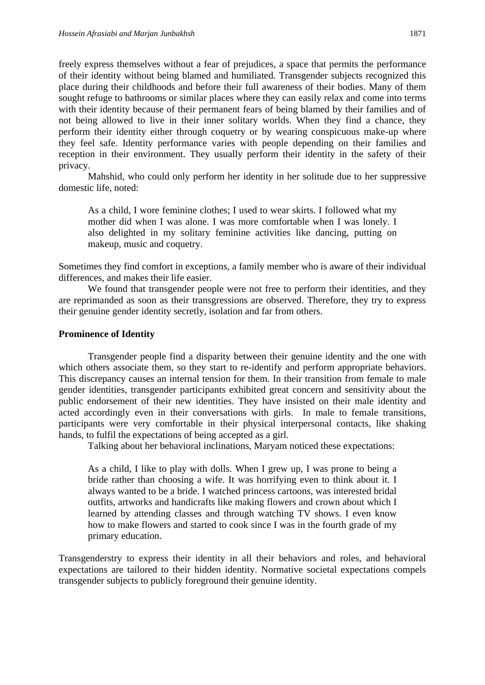freely express themselves without a fear of prejudices, a space that permits the performance of their identity without being blamed and humiliated. Transgender subjects recognized this place during their childhoods and before their full awareness of their bodies. Many of them sought refuge to bathrooms or similar places where they can easily relax and come into terms with their identity because of their permanent fears of being blamed by their families and of not being allowed to live in their inner solitary worlds. When they find a chance, they perform their identity either through coquetry or by wearing conspicuous make-up where they feel safe. Identity performance varies with people depending on their families and reception in their environment. They usually perform their identity in the safety of their privacy.

Mahshid, who could only perform her identity in her solitude due to her suppressive domestic life, noted:

As a child, I wore feminine clothes; I used to wear skirts. I followed what my mother did when I was alone. I was more comfortable when I was lonely. I also delighted in my solitary feminine activities like dancing, putting on makeup, music and coquetry.

Sometimes they find comfort in exceptions, a family member who is aware of their individual differences, and makes their life easier.

We found that transgender people were not free to perform their identities, and they are reprimanded as soon as their transgressions are observed. Therefore, they try to express their genuine gender identity secretly, isolation and far from others.

# **Prominence of Identity**

Transgender people find a disparity between their genuine identity and the one with which others associate them, so they start to re-identify and perform appropriate behaviors. This discrepancy causes an internal tension for them. In their transition from female to male gender identities, transgender participants exhibited great concern and sensitivity about the public endorsement of their new identities. They have insisted on their male identity and acted accordingly even in their conversations with girls. In male to female transitions, participants were very comfortable in their physical interpersonal contacts, like shaking hands, to fulfil the expectations of being accepted as a girl.

Talking about her behavioral inclinations, Maryam noticed these expectations:

As a child, I like to play with dolls. When I grew up, I was prone to being a bride rather than choosing a wife. It was horrifying even to think about it. I always wanted to be a bride. I watched princess cartoons, was interested bridal outfits, artworks and handicrafts like making flowers and crown about which I learned by attending classes and through watching TV shows. I even know how to make flowers and started to cook since I was in the fourth grade of my primary education.

Transgenderstry to express their identity in all their behaviors and roles, and behavioral expectations are tailored to their hidden identity. Normative societal expectations compels transgender subjects to publicly foreground their genuine identity.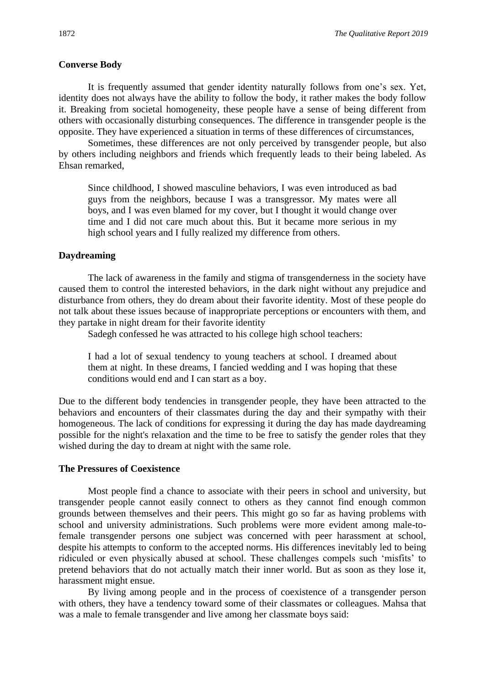#### **Converse Body**

It is frequently assumed that gender identity naturally follows from one's sex. Yet, identity does not always have the ability to follow the body, it rather makes the body follow it. Breaking from societal homogeneity, these people have a sense of being different from others with occasionally disturbing consequences. The difference in transgender people is the opposite. They have experienced a situation in terms of these differences of circumstances,

Sometimes, these differences are not only perceived by transgender people, but also by others including neighbors and friends which frequently leads to their being labeled. As Ehsan remarked,

Since childhood, I showed masculine behaviors, I was even introduced as bad guys from the neighbors, because I was a transgressor. My mates were all boys, and I was even blamed for my cover, but I thought it would change over time and I did not care much about this. But it became more serious in my high school years and I fully realized my difference from others.

#### **Daydreaming**

The lack of awareness in the family and stigma of transgenderness in the society have caused them to control the interested behaviors, in the dark night without any prejudice and disturbance from others, they do dream about their favorite identity. Most of these people do not talk about these issues because of inappropriate perceptions or encounters with them, and they partake in night dream for their favorite identity

Sadegh confessed he was attracted to his college high school teachers:

I had a lot of sexual tendency to young teachers at school. I dreamed about them at night. In these dreams, I fancied wedding and I was hoping that these conditions would end and I can start as a boy.

Due to the different body tendencies in transgender people, they have been attracted to the behaviors and encounters of their classmates during the day and their sympathy with their homogeneous. The lack of conditions for expressing it during the day has made daydreaming possible for the night's relaxation and the time to be free to satisfy the gender roles that they wished during the day to dream at night with the same role.

## **The Pressures of Coexistence**

Most people find a chance to associate with their peers in school and university, but transgender people cannot easily connect to others as they cannot find enough common grounds between themselves and their peers. This might go so far as having problems with school and university administrations. Such problems were more evident among male-tofemale transgender persons one subject was concerned with peer harassment at school, despite his attempts to conform to the accepted norms. His differences inevitably led to being ridiculed or even physically abused at school. These challenges compels such 'misfits' to pretend behaviors that do not actually match their inner world. But as soon as they lose it, harassment might ensue.

By living among people and in the process of coexistence of a transgender person with others, they have a tendency toward some of their classmates or colleagues. Mahsa that was a male to female transgender and live among her classmate boys said: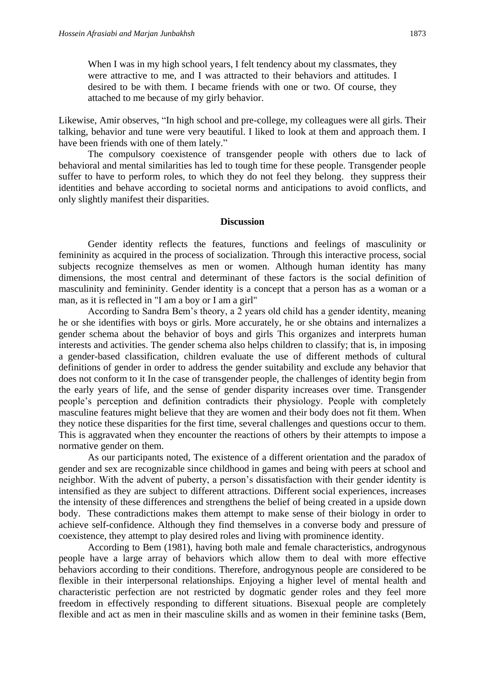When I was in my high school years, I felt tendency about my classmates, they were attractive to me, and I was attracted to their behaviors and attitudes. I desired to be with them. I became friends with one or two. Of course, they attached to me because of my girly behavior.

Likewise, Amir observes, "In high school and pre-college, my colleagues were all girls. Their talking, behavior and tune were very beautiful. I liked to look at them and approach them. I have been friends with one of them lately."

The compulsory coexistence of transgender people with others due to lack of behavioral and mental similarities has led to tough time for these people. Transgender people suffer to have to perform roles, to which they do not feel they belong. they suppress their identities and behave according to societal norms and anticipations to avoid conflicts, and only slightly manifest their disparities.

#### **Discussion**

Gender identity reflects the features, functions and feelings of masculinity or femininity as acquired in the process of socialization. Through this interactive process, social subjects recognize themselves as men or women. Although human identity has many dimensions, the most central and determinant of these factors is the social definition of masculinity and femininity. Gender identity is a concept that a person has as a woman or a man, as it is reflected in "I am a boy or I am a girl"

According to Sandra Bem's theory, a 2 years old child has a gender identity, meaning he or she identifies with boys or girls. More accurately, he or she obtains and internalizes a gender schema about the behavior of boys and girls This organizes and interprets human interests and activities. The gender schema also helps children to classify; that is, in imposing a gender-based classification, children evaluate the use of different methods of cultural definitions of gender in order to address the gender suitability and exclude any behavior that does not conform to it In the case of transgender people, the challenges of identity begin from the early years of life, and the sense of gender disparity increases over time. Transgender people's perception and definition contradicts their physiology. People with completely masculine features might believe that they are women and their body does not fit them. When they notice these disparities for the first time, several challenges and questions occur to them. This is aggravated when they encounter the reactions of others by their attempts to impose a normative gender on them.

As our participants noted, The existence of a different orientation and the paradox of gender and sex are recognizable since childhood in games and being with peers at school and neighbor. With the advent of puberty, a person's dissatisfaction with their gender identity is intensified as they are subject to different attractions. Different social experiences, increases the intensity of these differences and strengthens the belief of being created in a upside down body. These contradictions makes them attempt to make sense of their biology in order to achieve self-confidence. Although they find themselves in a converse body and pressure of coexistence, they attempt to play desired roles and living with prominence identity.

According to Bem (1981), having both male and female characteristics, androgynous people have a large array of behaviors which allow them to deal with more effective behaviors according to their conditions. Therefore, androgynous people are considered to be flexible in their interpersonal relationships. Enjoying a higher level of mental health and characteristic perfection are not restricted by dogmatic gender roles and they feel more freedom in effectively responding to different situations. Bisexual people are completely flexible and act as men in their masculine skills and as women in their feminine tasks (Bem,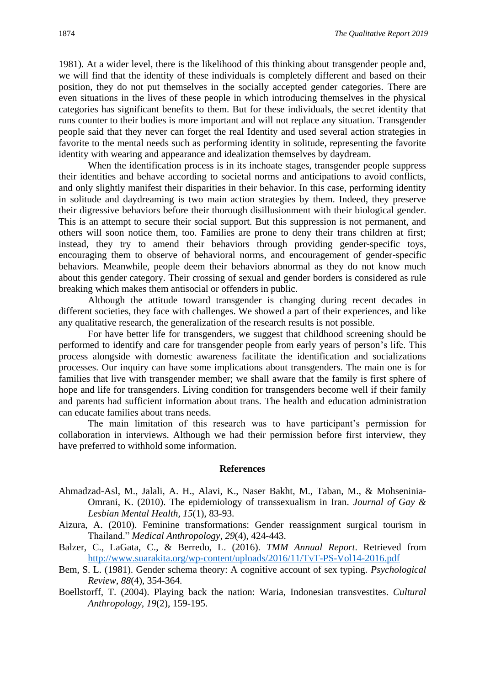1981). At a wider level, there is the likelihood of this thinking about transgender people and, we will find that the identity of these individuals is completely different and based on their position, they do not put themselves in the socially accepted gender categories. There are even situations in the lives of these people in which introducing themselves in the physical categories has significant benefits to them. But for these individuals, the secret identity that runs counter to their bodies is more important and will not replace any situation. Transgender people said that they never can forget the real Identity and used several action strategies in favorite to the mental needs such as performing identity in solitude, representing the favorite identity with wearing and appearance and idealization themselves by daydream.

When the identification process is in its inchoate stages, transgender people suppress their identities and behave according to societal norms and anticipations to avoid conflicts, and only slightly manifest their disparities in their behavior. In this case, performing identity in solitude and daydreaming is two main action strategies by them. Indeed, they preserve their digressive behaviors before their thorough disillusionment with their biological gender. This is an attempt to secure their social support. But this suppression is not permanent, and others will soon notice them, too. Families are prone to deny their trans children at first; instead, they try to amend their behaviors through providing gender-specific toys, encouraging them to observe of behavioral norms, and encouragement of gender-specific behaviors. Meanwhile, people deem their behaviors abnormal as they do not know much about this gender category. Their crossing of sexual and gender borders is considered as rule breaking which makes them antisocial or offenders in public.

Although the attitude toward transgender is changing during recent decades in different societies, they face with challenges. We showed a part of their experiences, and like any qualitative research, the generalization of the research results is not possible.

For have better life for transgenders, we suggest that childhood screening should be performed to identify and care for transgender people from early years of person's life. This process alongside with domestic awareness facilitate the identification and socializations processes. Our inquiry can have some implications about transgenders. The main one is for families that live with transgender member; we shall aware that the family is first sphere of hope and life for transgenders. Living condition for transgenders become well if their family and parents had sufficient information about trans. The health and education administration can educate families about trans needs.

The main limitation of this research was to have participant's permission for collaboration in interviews. Although we had their permission before first interview, they have preferred to withhold some information.

#### **References**

- Ahmadzad-Asl, M., Jalali, A. H., Alavi, K., Naser Bakht, M., Taban, M., & Mohseninia-Omrani, K. (2010). The epidemiology of transsexualism in Iran. *Journal of Gay & Lesbian Mental Health, 15*(1), 83-93.
- Aizura, A. (2010). Feminine transformations: Gender reassignment surgical tourism in Thailand." *Medical Anthropology, 29*(4), 424-443.
- Balzer, C., LaGata, C., & Berredo, L. (2016). *TMM Annual Report*. Retrieved from <http://www.suarakita.org/wp-content/uploads/2016/11/TvT-PS-Vol14-2016.pdf>
- Bem, S. L. (1981). Gender schema theory: A cognitive account of sex typing. *Psychological Review*, *88*(4), 354-364.
- Boellstorff, T. (2004). Playing back the nation: Waria, Indonesian transvestites. *Cultural Anthropology, 19*(2), 159-195.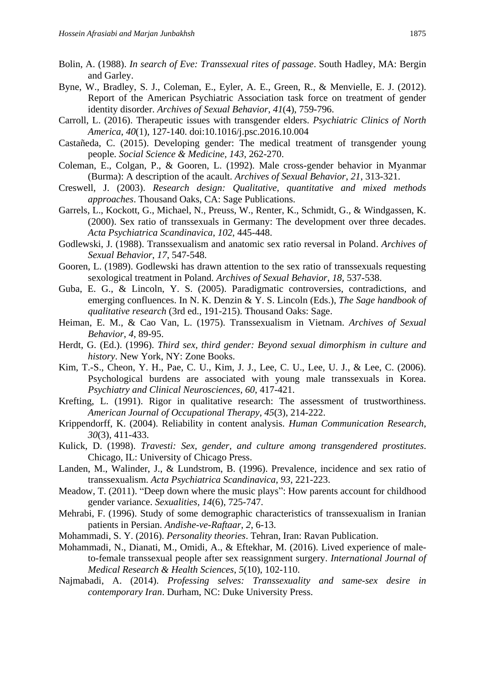- Bolin, A. (1988). *In search of Eve: Transsexual rites of passage*. South Hadley, MA: Bergin and Garley.
- Byne, W., Bradley, S. J., Coleman, E., Eyler, A. E., Green, R., & Menvielle, E. J. (2012). Report of the American Psychiatric Association task force on treatment of gender identity disorder. *Archives of Sexual Behavior*, *41*(4), 759-796.
- Carroll, L. (2016). Therapeutic issues with transgender elders. *Psychiatric Clinics of North America*, *40*(1), 127-140. doi:10.1016/j.psc.2016.10.004
- Castañeda, C. (2015). Developing gender: The medical treatment of transgender young people. *Social Science & Medicine, 143*, 262-270.
- Coleman, E., Colgan, P., & Gooren, L. (1992). Male cross-gender behavior in Myanmar (Burma): A description of the acault. *Archives of Sexual Behavior*, *21*, 313-321.
- Creswell, J. (2003). *Research design: Qualitative, quantitative and mixed methods approaches*. Thousand Oaks, CA: Sage Publications.
- Garrels, L., Kockott, G., Michael, N., Preuss, W., Renter, K., Schmidt, G., & Windgassen, K. (2000). Sex ratio of transsexuals in Germany: The development over three decades. *Acta Psychiatrica Scandinavica*, *102*, 445-448.
- Godlewski, J. (1988). Transsexualism and anatomic sex ratio reversal in Poland. *Archives of Sexual Behavior*, *17*, 547-548.
- Gooren, L. (1989). Godlewski has drawn attention to the sex ratio of transsexuals requesting sexological treatment in Poland. *Archives of Sexual Behavior*, *18*, 537-538.
- Guba, E. G., & Lincoln, Y. S. (2005). Paradigmatic controversies, contradictions, and emerging confluences. In N. K. Denzin & Y. S. Lincoln (Eds.), *The Sage handbook of qualitative research* (3rd ed., 191-215). Thousand Oaks: Sage.
- Heiman, E. M., & Cao Van, L. (1975). Transsexualism in Vietnam. *Archives of Sexual Behavior*, *4*, 89-95.
- Herdt, G. (Ed.). (1996). *Third sex, third gender: Beyond sexual dimorphism in culture and history*. New York, NY: Zone Books.
- Kim, T.-S., Cheon, Y. H., Pae, C. U., Kim, J. J., Lee, C. U., Lee, U. J., & Lee, C. (2006). Psychological burdens are associated with young male transsexuals in Korea. *Psychiatry and Clinical Neurosciences*, *60*, 417-421.
- Krefting, L. (1991). Rigor in qualitative research: The assessment of trustworthiness. *American Journal of Occupational Therapy, 45*(3), 214-222.
- Krippendorff, K. (2004). Reliability in content analysis. *Human Communication Research*, *30*(3), 411-433.
- Kulick, D. (1998). *Travesti: Sex, gender, and culture among transgendered prostitutes*. Chicago, IL: University of Chicago Press.
- Landen, M., Walinder, J., & Lundstrom, B. (1996). Prevalence, incidence and sex ratio of transsexualism. *Acta Psychiatrica Scandinavica*, *93*, 221-223.
- Meadow, T. (2011). "Deep down where the music plays": How parents account for childhood gender variance. *Sexualities, 14*(6), 725-747.
- Mehrabi, F. (1996). Study of some demographic characteristics of transsexualism in Iranian patients in Persian. *Andishe-ve-Raftaar*, *2*, 6-13.
- Mohammadi, S. Y. (2016). *Personality theories*. Tehran, Iran: Ravan Publication.
- Mohammadi, N., Dianati, M., Omidi, A., & Eftekhar, M. (2016). Lived experience of maleto-female transsexual people after sex reassignment surgery. *International Journal of Medical Research & Health Sciences*, *5*(10), 102-110.
- Najmabadi, A. (2014). *Professing selves: Transsexuality and same-sex desire in contemporary Iran*. Durham, NC: Duke University Press.